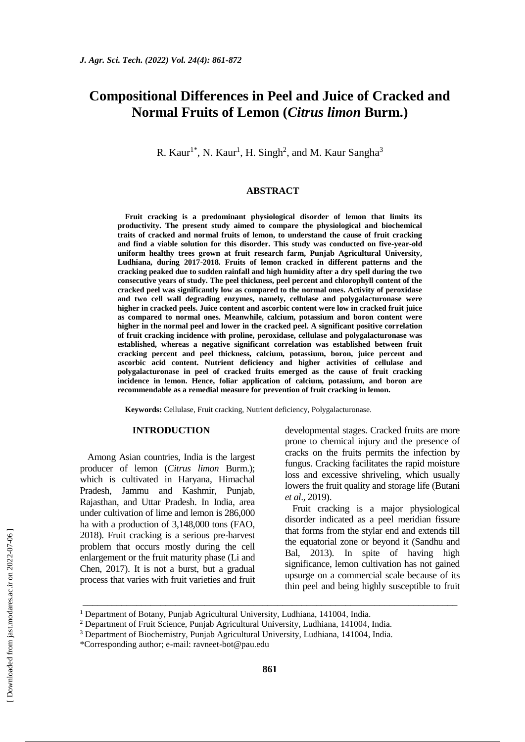# **Compositional Differences in Peel and Juice of Cracked and Normal Fruits of Lemon (***Citrus limon* **Burm.)**

R. Kaur<sup>1\*</sup>, N. Kaur<sup>1</sup>, H. Singh<sup>2</sup>, and M. Kaur Sangha<sup>3</sup>

#### **ABSTRACT**

**Fruit cracking is a predominant physiological disorder of lemon that limits its productivity. The present study aimed to compare the physiological and biochemical traits of cracked and normal fruits of lemon, to understand the cause of fruit cracking and find a viable solution for this disorder. This study was conducted on five-year-old uniform healthy trees grown at fruit research farm, Punjab Agricultural University, Ludhiana, during 2017-2018. Fruits of lemon cracked in different patterns and the cracking peaked due to sudden rainfall and high humidity after a dry spell during the two consecutive years of study. The peel thickness, peel percent and chlorophyll content of the cracked peel was significantly low as compared to the normal ones. Activity of peroxidase and two cell wall degrading enzymes, namely, cellulase and polygalacturonase were higher in cracked peels. Juice content and ascorbic content were low in cracked fruit juice as compared to normal ones. Meanwhile, calcium, potassium and boron content were higher in the normal peel and lower in the cracked peel. A significant positive correlation of fruit cracking incidence with proline, peroxidase, cellulase and polygalacturonase was established, whereas a negative significant correlation was established between fruit cracking percent and peel thickness, calcium, potassium, boron, juice percent and ascorbic acid content. Nutrient deficiency and higher activities of cellulase and polygalacturonase in peel of cracked fruits emerged as the cause of fruit cracking incidence in lemon. Hence, foliar application of calcium, potassium, and boron are recommendable as a remedial measure for prevention of fruit cracking in lemon.**

**Keywords:** Cellulase, Fruit cracking, Nutrient deficiency, Polygalacturonase.

## **INTRODUCTION**

Among Asian countries, India is the largest producer of lemon (*Citrus limon* Burm.); which is cultivated in Haryana, Himachal Pradesh, Jammu and Kashmir, Punjab, Rajasthan, and Uttar Pradesh. In India, area under cultivation of lime and lemon is 286,000 ha with a production of 3,148,000 tons (FAO, 2018). Fruit cracking is a serious pre-harvest problem that occurs mostly during the cell enlargement or the fruit maturity phase (Li and Chen, 2017). It is not a burst, but a gradual process that varies with fruit varieties and fruit developmental stages. Cracked fruits are more prone to chemical injury and the presence of cracks on the fruits permits the infection by fungus. Cracking facilitates the rapid moisture loss and excessive shriveling, which usually lowers the fruit quality and storage life (Butani *et al*., 2019).

Fruit cracking is a major physiological disorder indicated as a peel meridian fissure that forms from the stylar end and extends till the equatorial zone or beyond it (Sandhu and Bal, 2013). In spite of having high significance, lemon cultivation has not gained upsurge on a commercial scale because of its thin peel and being highly susceptible to fruit

\_\_\_\_\_\_\_\_\_\_\_\_\_\_\_\_\_\_\_\_\_\_\_\_\_\_\_\_\_\_\_\_\_\_\_\_\_\_\_\_\_\_\_\_\_\_\_\_\_\_\_\_\_\_\_\_\_\_\_\_\_\_\_\_\_\_\_\_\_\_\_\_\_\_\_\_\_

<sup>&</sup>lt;sup>1</sup> Department of Botany, Punjab Agricultural University, Ludhiana, 141004, India.

<sup>&</sup>lt;sup>2</sup> Department of Fruit Science, Punjab Agricultural University, Ludhiana, 141004, India.

<sup>3</sup> Department of Biochemistry, Punjab Agricultural University, Ludhiana, 141004, India.

<sup>\*</sup>Corresponding author; e-mail: [ravneet-bot@pau.edu](mailto:ravneet-bot@pau.edu)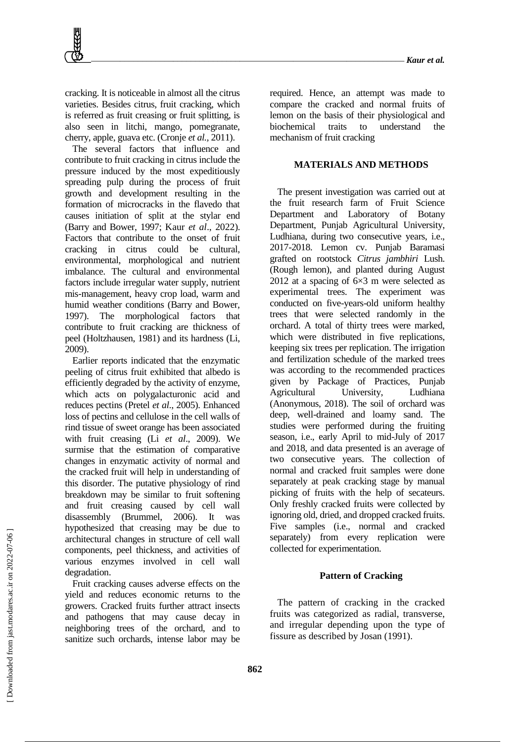cracking. It is noticeable in almost all the citrus varieties. Besides citrus, fruit cracking, which is referred as fruit creasing or fruit splitting, is also seen in litchi, mango, pomegranate, cherry, apple, guava etc. (Cronje *et al.,* 2011).

The several factors that influence and contribute to fruit cracking in citrus include the pressure induced by the most expeditiously spreading pulp during the process of fruit growth and development resulting in the formation of microcracks in the flavedo that causes initiation of split at the stylar end (Barry and Bower, 1997; Kaur *et al*., 2022). Factors that contribute to the onset of fruit cracking in citrus could be cultural, environmental, morphological and nutrient imbalance. The cultural and environmental factors include irregular water supply, nutrient mis-management, heavy crop load, warm and humid weather conditions (Barry and Bower, 1997). The morphological factors that contribute to fruit cracking are thickness of peel (Holtzhausen, 1981) and its hardness (Li, 2009).

Earlier reports indicated that the enzymatic peeling of citrus fruit exhibited that albedo is efficiently degraded by the activity of enzyme, which acts on polygalacturonic acid and reduces pectins (Pretel *et al*., 2005). Enhanced loss of pectins and cellulose in the cell walls of rind tissue of sweet orange has been associated with fruit creasing (Li *et al*., 2009). We surmise that the estimation of comparative changes in enzymatic activity of normal and the cracked fruit will help in understanding of this disorder. The putative physiology of rind breakdown may be similar to fruit softening and fruit creasing caused by cell wall disassembly (Brummel, 2006). It was hypothesized that creasing may be due to architectural changes in structure of cell wall components, peel thickness, and activities of various enzymes involved in cell wall degradation.

Fruit cracking causes adverse effects on the yield and reduces economic returns to the growers. Cracked fruits further attract insects and pathogens that may cause decay in neighboring trees of the orchard, and to sanitize such orchards, intense labor may be required. Hence, an attempt was made to compare the cracked and normal fruits of lemon on the basis of their physiological and biochemical traits to understand the mechanism of fruit cracking

## **MATERIALS AND METHODS**

The present investigation was carried out at the fruit research farm of Fruit Science Department and Laboratory of Botany Department, Punjab Agricultural University, Ludhiana, during two consecutive years, i.e., 2017-2018. Lemon cv. Punjab Baramasi grafted on rootstock *Citrus jambhiri* Lush. (Rough lemon), and planted during August 2012 at a spacing of 6×3 m were selected as experimental trees. The experiment was conducted on five-years-old uniform healthy trees that were selected randomly in the orchard. A total of thirty trees were marked, which were distributed in five replications, keeping six trees per replication. The irrigation and fertilization schedule of the marked trees was according to the recommended practices given by Package of Practices, Punjab Agricultural University, Ludhiana (Anonymous, 2018). The soil of orchard was deep, well-drained and loamy sand. The studies were performed during the fruiting season, i.e., early April to mid-July of 2017 and 2018, and data presented is an average of two consecutive years. The collection of normal and cracked fruit samples were done separately at peak cracking stage by manual picking of fruits with the help of secateurs. Only freshly cracked fruits were collected by ignoring old, dried, and dropped cracked fruits. Five samples (i.e., normal and cracked separately) from every replication were collected for experimentation.

#### **Pattern of Cracking**

The pattern of cracking in the cracked fruits was categorized as radial, transverse, and irregular depending upon the type of fissure as described by Josan (1991).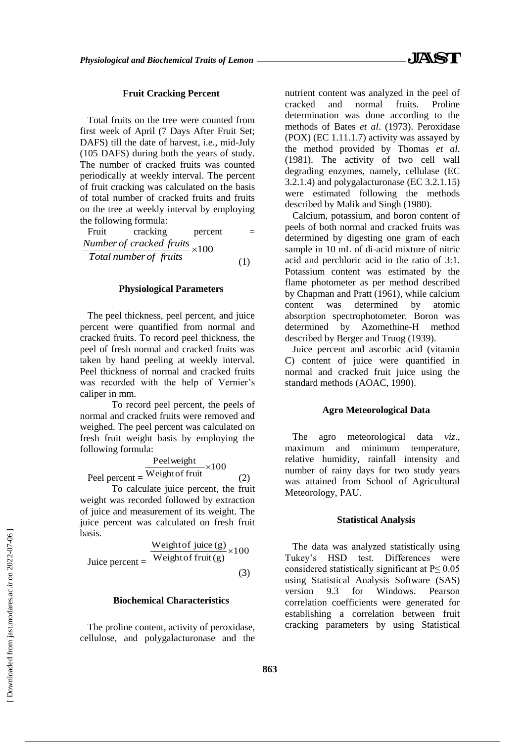## **Fruit Cracking Percent**

Total fruits on the tree were counted from first week of April (7 Days After Fruit Set; DAFS) till the date of harvest, i.e., mid-July (105 DAFS) during both the years of study. The number of cracked fruits was counted periodically at weekly interval. The percent of fruit cracking was calculated on the basis of total number of cracked fruits and fruits on the tree at weekly interval by employing the following formula:

| Fruit | cracking                      | percent |     |
|-------|-------------------------------|---------|-----|
|       | Number of cracked fruits x100 |         |     |
|       | Total number of fruits        |         | (1) |

#### **Physiological Parameters**

The peel thickness, peel percent, and juice percent were quantified from normal and cracked fruits. To record peel thickness, the peel of fresh normal and cracked fruits was taken by hand peeling at weekly interval. Peel thickness of normal and cracked fruits was recorded with the help of Vernier's caliper in mm.

To record peel percent, the peels of normal and cracked fruits were removed and weighed. The peel percent was calculated on fresh fruit weight basis by employing the following formula:

$$
Peel
$$
 
$$
Peel
$$
 
$$
Neight of fruit \times 100
$$

To calculate juice percent, the fruit weight was recorded followed by extraction of juice and measurement of its weight. The juice percent was calculated on fresh fruit basis.

$$
Juice percent = \frac{Weight of juice(g)}{Weight of fruit(g)} \times 100
$$
\n(3)

## **Biochemical Characteristics**

The proline content, activity of peroxidase, cellulose, and polygalacturonase and the nutrient content was analyzed in the peel of cracked and normal fruits. Proline determination was done according to the methods of Bates *et al*. (1973). Peroxidase (POX) (EC 1.11.1.7) activity was assayed by the method provided by Thomas *et al*. (1981). The activity of two cell wall degrading enzymes, namely, cellulase (EC 3.2.1.4) and polygalacturonase (EC 3.2.1.15) were estimated following the methods described by Malik and Singh (1980).

Calcium, potassium, and boron content of peels of both normal and cracked fruits was determined by digesting one gram of each sample in 10 mL of di-acid mixture of nitric acid and perchloric acid in the ratio of 3:1. Potassium content was estimated by the flame photometer as per method described by Chapman and Pratt (1961), while calcium content was determined by atomic absorption spectrophotometer. Boron was determined by Azomethine-H method described by Berger and Truog (1939).

Juice percent and ascorbic acid (vitamin C) content of juice were quantified in normal and cracked fruit juice using the standard methods (AOAC, 1990).

## **Agro Meteorological Data**

The agro meteorological data *viz*., maximum and minimum temperature, relative humidity, rainfall intensity and number of rainy days for two study years was attained from School of Agricultural Meteorology, PAU.

#### **Statistical Analysis**

The data was analyzed statistically using Tukey's HSD test. Differences were considered statistically significant at  $P \le 0.05$ using Statistical Analysis Software (SAS) version 9.3 for Windows. Pearson correlation coefficients were generated for establishing a correlation between fruit cracking parameters by using Statistical

(2)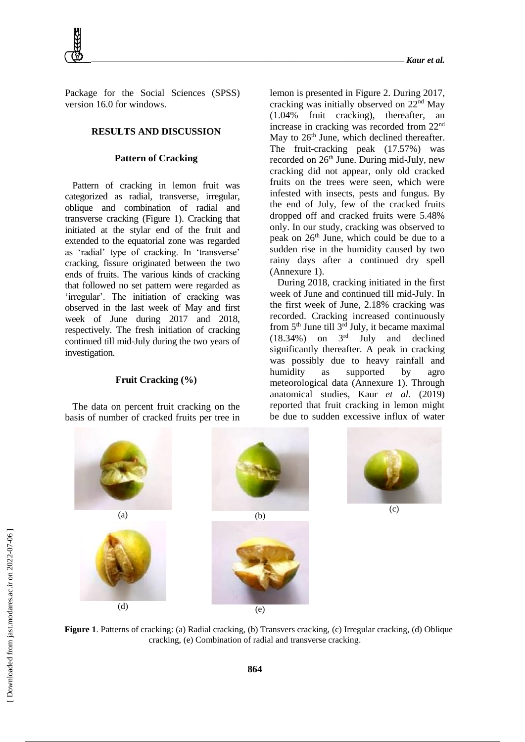*\_\_\_\_\_\_\_\_\_\_\_\_\_\_\_\_\_\_\_\_\_\_\_\_\_\_\_\_\_\_\_\_\_\_\_\_\_\_\_\_\_\_\_\_\_\_\_\_\_\_\_\_\_\_\_\_\_\_\_\_\_\_\_\_\_\_\_\_\_\_\_\_\_ Kaur et al.*

Package for the Social Sciences (SPSS) version 16.0 for windows.

## **RESULTS AND DISCUSSION**

## **Pattern of Cracking**

Pattern of cracking in lemon fruit was categorized as radial, transverse, irregular, oblique and combination of radial and transverse cracking (Figure 1). Cracking that initiated at the stylar end of the fruit and extended to the equatorial zone was regarded as 'radial' type of cracking. In 'transverse' cracking, fissure originated between the two ends of fruits. The various kinds of cracking that followed no set pattern were regarded as 'irregular'. The initiation of cracking was observed in the last week of May and first week of June during 2017 and 2018, respectively. The fresh initiation of cracking continued till mid-July during the two years of investigation.

## **Fruit Cracking (%)**

The data on percent fruit cracking on the basis of number of cracked fruits per tree in lemon is presented in Figure 2. During 2017, cracking was initially observed on 22nd May (1.04% fruit cracking), thereafter, an increase in cracking was recorded from 22nd May to 26<sup>th</sup> June, which declined thereafter. The fruit-cracking peak (17.57%) was recorded on 26<sup>th</sup> June. During mid-July, new cracking did not appear, only old cracked fruits on the trees were seen, which were infested with insects, pests and fungus. By the end of July, few of the cracked fruits dropped off and cracked fruits were 5.48% only. In our study, cracking was observed to peak on  $26<sup>th</sup>$  June, which could be due to a sudden rise in the humidity caused by two rainy days after a continued dry spell (Annexure 1).

During 2018, cracking initiated in the first week of June and continued till mid-July. In the first week of June, 2.18% cracking was recorded. Cracking increased continuously from 5th June till 3rd July, it became maximal  $(18.34\%)$  on  $3<sup>rd</sup>$  July and declined significantly thereafter. A peak in cracking was possibly due to heavy rainfall and humidity as supported by agro meteorological data (Annexure 1). Through anatomical studies, Kaur *et al*. (2019) reported that fruit cracking in lemon might be due to sudden excessive influx of water



**Figure 1**. Patterns of cracking: (a) Radial cracking, (b) Transvers cracking, (c) Irregular cracking, (d) Oblique cracking, (e) Combination of radial and transverse cracking.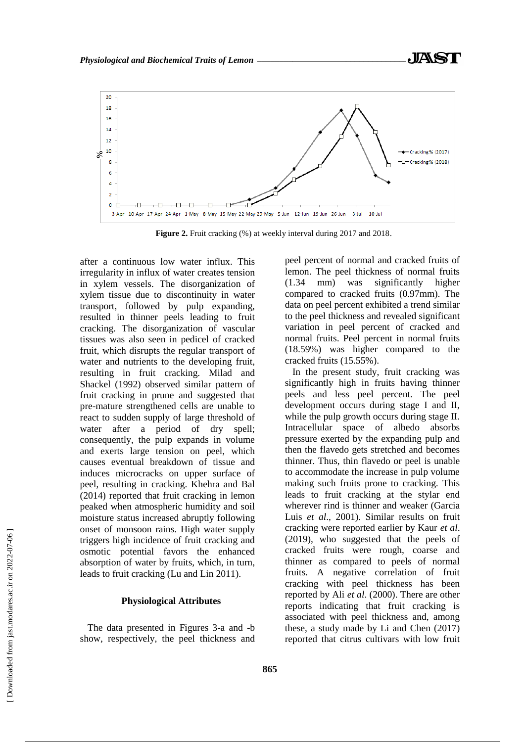

**Figure 2.** Fruit cracking (%) at weekly interval during 2017 and 2018.

after a continuous low water influx. This irregularity in influx of water creates tension in xylem vessels. The disorganization of xylem tissue due to discontinuity in water transport, followed by pulp expanding, resulted in thinner peels leading to fruit cracking. The disorganization of vascular tissues was also seen in pedicel of cracked fruit, which disrupts the regular transport of water and nutrients to the developing fruit, resulting in fruit cracking. Milad and Shackel (1992) observed similar pattern of fruit cracking in prune and suggested that pre-mature strengthened cells are unable to react to sudden supply of large threshold of water after a period of dry spell; consequently, the pulp expands in volume and exerts large tension on peel, which causes eventual breakdown of tissue and induces microcracks on upper surface of peel, resulting in cracking. Khehra and Bal (2014) reported that fruit cracking in lemon peaked when atmospheric humidity and soil moisture status increased abruptly following onset of monsoon rains. High water supply triggers high incidence of fruit cracking and osmotic potential favors the enhanced absorption of water by fruits, which, in turn, leads to fruit cracking (Lu and Lin 2011).

#### **Physiological Attributes**

The data presented in Figures 3-a and -b show, respectively, the peel thickness and peel percent of normal and cracked fruits of lemon. The peel thickness of normal fruits (1.34 mm) was significantly higher compared to cracked fruits (0.97mm). The data on peel percent exhibited a trend similar to the peel thickness and revealed significant variation in peel percent of cracked and normal fruits. Peel percent in normal fruits (18.59%) was higher compared to the cracked fruits (15.55%).

In the present study, fruit cracking was significantly high in fruits having thinner peels and less peel percent. The peel development occurs during stage I and II, while the pulp growth occurs during stage II. Intracellular space of albedo absorbs pressure exerted by the expanding pulp and then the flavedo gets stretched and becomes thinner. Thus, thin flavedo or peel is unable to accommodate the increase in pulp volume making such fruits prone to cracking. This leads to fruit cracking at the stylar end wherever rind is thinner and weaker (Garcia Luis *et al*., 2001). Similar results on fruit cracking were reported earlier by Kaur *et al*. (2019), who suggested that the peels of cracked fruits were rough, coarse and thinner as compared to peels of normal fruits. A negative correlation of fruit cracking with peel thickness has been reported by Ali *et al*. (2000). There are other reports indicating that fruit cracking is associated with peel thickness and, among these, a study made by Li and Chen (2017) reported that citrus cultivars with low fruit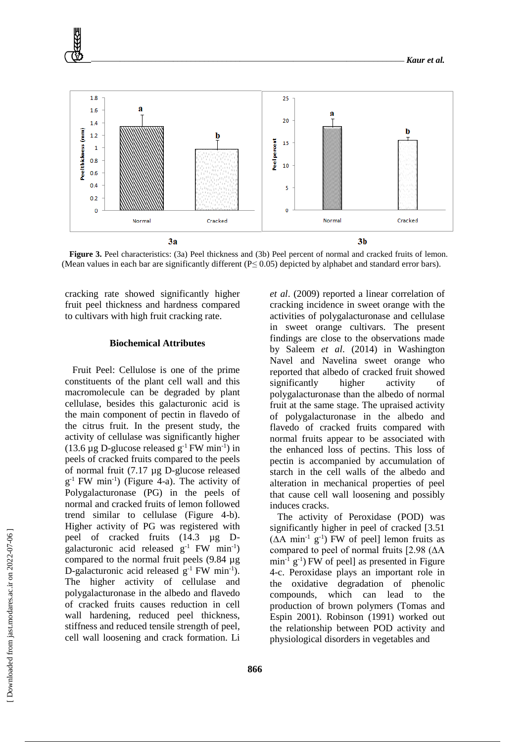

**Figure 3.** Peel characteristics: (3a) Peel thickness and (3b) Peel percent of normal and cracked fruits of lemon. (Mean values in each bar are significantly different (P≤ 0.05) depicted by alphabet and standard error bars).

cracking rate showed significantly higher fruit peel thickness and hardness compared to cultivars with high fruit cracking rate.

#### **Biochemical Attributes**

Fruit Peel: Cellulose is one of the prime constituents of the plant cell wall and this macromolecule can be degraded by plant cellulase, besides this galacturonic acid is the main component of pectin in flavedo of the citrus fruit. In the present study, the activity of cellulase was significantly higher (13.6 µg D-glucose released  $g^{-1}$  FW min<sup>-1</sup>) in peels of cracked fruits compared to the peels of normal fruit (7.17 µg D-glucose released g -1 FW min-1 ) (Figure 4-a). The activity of Polygalacturonase (PG) in the peels of normal and cracked fruits of lemon followed trend similar to cellulase (Figure 4-b). Higher activity of PG was registered with peel of cracked fruits (14.3 µg Dgalacturonic acid released  $g^{-1}$  FW min<sup>-1</sup>) compared to the normal fruit peels (9.84 µg D-galacturonic acid released  $g^{-1}$  FW min<sup>-1</sup>). The higher activity of cellulase and polygalacturonase in the albedo and flavedo of cracked fruits causes reduction in cell wall hardening, reduced peel thickness, stiffness and reduced tensile strength of peel, cell wall loosening and crack formation. Li

*et al*. (2009) reported a linear correlation of cracking incidence in sweet orange with the activities of polygalacturonase and cellulase in sweet orange cultivars. The present findings are close to the observations made by Saleem *et al*. (2014) in Washington Navel and Navelina sweet orange who reported that albedo of cracked fruit showed significantly higher activity of polygalacturonase than the albedo of normal fruit at the same stage. The upraised activity of polygalacturonase in the albedo and flavedo of cracked fruits compared with normal fruits appear to be associated with the enhanced loss of pectins. This loss of pectin is accompanied by accumulation of starch in the cell walls of the albedo and alteration in mechanical properties of peel that cause cell wall loosening and possibly induces cracks.

The activity of Peroxidase (POD) was significantly higher in peel of cracked [3.51  $(∆A min<sup>-1</sup> g<sup>-1</sup>)$  FW of peel] lemon fruits as compared to peel of normal fruits [2.98 (∆A  $\min^{-1} g^{-1}$ ) FW of peel] as presented in Figure 4-c. Peroxidase plays an important role in the oxidative degradation of phenolic compounds, which can lead to the production of brown polymers (Tomas and Espin 2001). Robinson (1991) worked out the relationship between POD activity and physiological disorders in vegetables and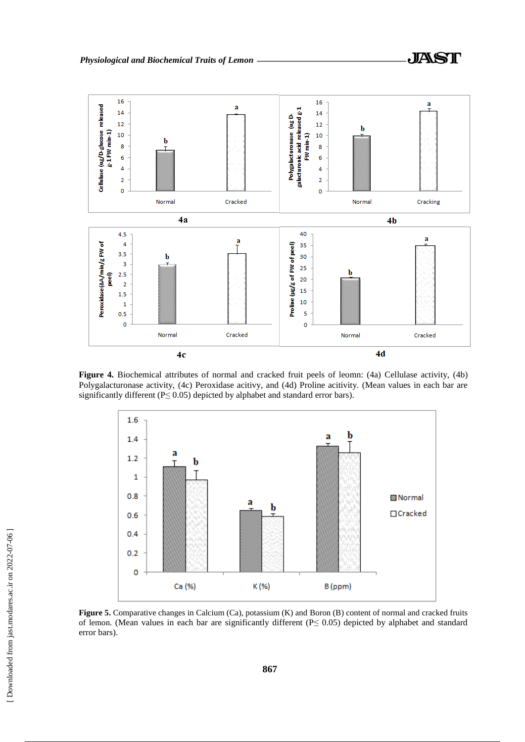

**Figure 4.** Biochemical attributes of normal and cracked fruit peels of leomn: (4a) Cellulase activity, (4b) Polygalacturonase activity, (4c) Peroxidase acitivy, and (4d) Proline acitivity. (Mean values in each bar are significantly different ( $P \le 0.05$ ) depicted by alphabet and standard error bars).



**Figure 5.** Comparative changes in Calcium (Ca), potassium (K) and Boron (B) content of normal and cracked fruits of lemon. (Mean values in each bar are significantly different ( $P \le 0.05$ ) depicted by alphabet and standard error bars).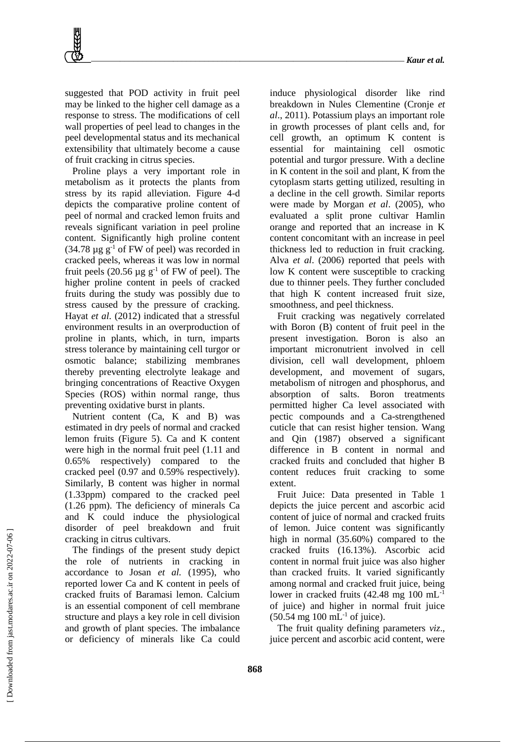suggested that POD activity in fruit peel may be linked to the higher cell damage as a response to stress. The modifications of cell wall properties of peel lead to changes in the peel developmental status and its mechanical extensibility that ultimately become a cause of fruit cracking in citrus species.

Proline plays a very important role in metabolism as it protects the plants from stress by its rapid alleviation. Figure 4-d depicts the comparative proline content of peel of normal and cracked lemon fruits and reveals significant variation in peel proline content. Significantly high proline content  $(34.78 \text{ µg g}^{-1} \text{ of FW of }$  peel) was recorded in cracked peels, whereas it was low in normal fruit peels (20.56  $\mu$ g g<sup>-1</sup> of FW of peel). The higher proline content in peels of cracked fruits during the study was possibly due to stress caused by the pressure of cracking. Hayat *et al*. (2012) indicated that a stressful environment results in an overproduction of proline in plants, which, in turn, imparts stress tolerance by maintaining cell turgor or osmotic balance; stabilizing membranes thereby preventing electrolyte leakage and bringing concentrations of Reactive Oxygen Species (ROS) within normal range, thus preventing oxidative burst in plants.

Nutrient content (Ca, K and B) was estimated in dry peels of normal and cracked lemon fruits (Figure 5). Ca and K content were high in the normal fruit peel (1.11 and 0.65% respectively) compared to the cracked peel (0.97 and 0.59% respectively). Similarly, B content was higher in normal (1.33ppm) compared to the cracked peel (1.26 ppm). The deficiency of minerals Ca and K could induce the physiological disorder of peel breakdown and fruit cracking in citrus cultivars.

The findings of the present study depict the role of nutrients in cracking in accordance to Josan *et al.* (1995), who reported lower Ca and K content in peels of cracked fruits of Baramasi lemon. Calcium is an essential component of cell membrane structure and plays a key role in cell division and growth of plant species. The imbalance or deficiency of minerals like Ca could

induce physiological disorder like rind breakdown in Nules Clementine (Cronje *et al*., 2011). Potassium plays an important role in growth processes of plant cells and, for cell growth, an optimum K content is essential for maintaining cell osmotic potential and turgor pressure. With a decline in K content in the soil and plant, K from the cytoplasm starts getting utilized, resulting in a decline in the cell growth. Similar reports were made by Morgan *et al*. (2005), who evaluated a split prone cultivar Hamlin orange and reported that an increase in K content concomitant with an increase in peel thickness led to reduction in fruit cracking. Alva *et al*. (2006) reported that peels with low K content were susceptible to cracking due to thinner peels. They further concluded that high K content increased fruit size, smoothness, and peel thickness.

Fruit cracking was negatively correlated with Boron (B) content of fruit peel in the present investigation. Boron is also an important micronutrient involved in cell division, cell wall development, phloem development, and movement of sugars, metabolism of nitrogen and phosphorus, and absorption of salts. Boron treatments permitted higher Ca level associated with pectic compounds and a Ca-strengthened cuticle that can resist higher tension. Wang and Qin (1987) observed a significant difference in B content in normal and cracked fruits and concluded that higher B content reduces fruit cracking to some extent.

Fruit Juice: Data presented in Table 1 depicts the juice percent and ascorbic acid content of juice of normal and cracked fruits of lemon. Juice content was significantly high in normal (35.60%) compared to the cracked fruits (16.13%). Ascorbic acid content in normal fruit juice was also higher than cracked fruits. It varied significantly among normal and cracked fruit juice, being lower in cracked fruits (42.48 mg 100 mL<sup>-1</sup> of juice) and higher in normal fruit juice  $(50.54 \text{ mg } 100 \text{ mL}^{-1} \text{ of }$  juice).

The fruit quality defining parameters *viz*., juice percent and ascorbic acid content, were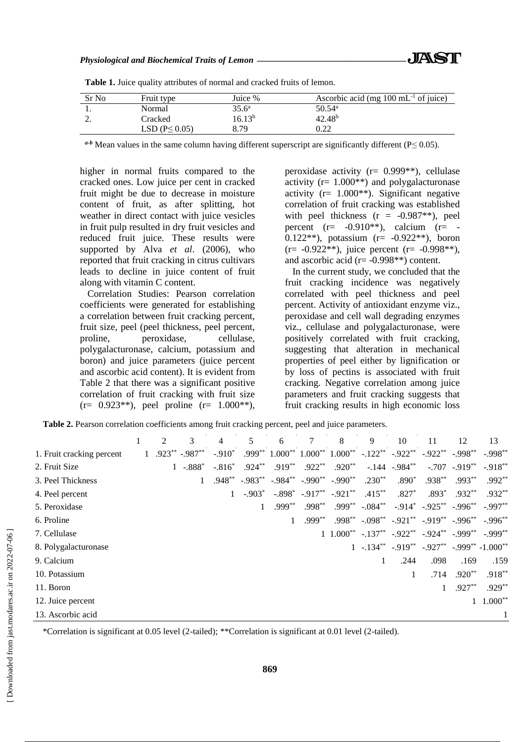| $35.6^{\circ}$<br>$50.54^{\rm a}$<br>Normal<br>42.48 <sup>b</sup><br>$16.13^b$<br>Cracked<br><u>.</u> | Sr No | Fruit type            | Juice % | Ascorbic acid (mg $100 \text{ mL}^{-1}$ of juice) |
|-------------------------------------------------------------------------------------------------------|-------|-----------------------|---------|---------------------------------------------------|
|                                                                                                       |       |                       |         |                                                   |
|                                                                                                       |       |                       |         |                                                   |
|                                                                                                       |       | LSD ( $P \leq 0.05$ ) | 8.79    | 9.22                                              |

Table 1. Juice quality attributes of normal and cracked fruits of lemon.

*a-b* Mean values in the same column having different superscript are significantly different (P≤ 0.05).

higher in normal fruits compared to the cracked ones. Low juice per cent in cracked fruit might be due to decrease in moisture content of fruit, as after splitting, hot weather in direct contact with juice vesicles in fruit pulp resulted in dry fruit vesicles and reduced fruit juice. These results were supported by Alva *et al*. (2006), who reported that fruit cracking in citrus cultivars leads to decline in juice content of fruit along with vitamin C content.

Correlation Studies: Pearson correlation coefficients were generated for establishing a correlation between fruit cracking percent, fruit size, peel (peel thickness, peel percent, proline, peroxidase, cellulase, polygalacturonase, calcium, potassium and boron) and juice parameters (juice percent and ascorbic acid content). It is evident from Table 2 that there was a significant positive correlation of fruit cracking with fruit size  $(r= 0.923^{**})$ , peel proline  $(r= 1.000^{**})$ , peroxidase activity (r= 0.999\*\*), cellulase activity ( $r= 1.000**$ ) and polygalacturonase activity ( $r = 1.000**$ ). Significant negative correlation of fruit cracking was established with peel thickness  $(r = -0.987**)$ , peel percent  $(r=-0.910**)$ , calcium  $(r=$ 0.122\*\*), potassium (r= -0.922\*\*), boron  $(r=-0.922**)$ , juice percent  $(r=-0.998**)$ , and ascorbic acid ( $r = -0.998**$ ) content.

In the current study, we concluded that the fruit cracking incidence was negatively correlated with peel thickness and peel percent. Activity of antioxidant enzyme viz., peroxidase and cell wall degrading enzymes viz., cellulase and polygalacturonase, were positively correlated with fruit cracking, suggesting that alteration in mechanical properties of peel either by lignification or by loss of pectins is associated with fruit cracking. Negative correlation among juice parameters and fruit cracking suggests that fruit cracking results in high economic loss

**Table 2.** Pearson correlation coefficients among fruit cracking percent, peel and juice parameters.

|                           |              | $\mathfrak{D}$ | 3                | 4        | 5 | 6         | 8                                                                                                                   | 9         | 10              | 11                                                                  | 12       | 13                         |
|---------------------------|--------------|----------------|------------------|----------|---|-----------|---------------------------------------------------------------------------------------------------------------------|-----------|-----------------|---------------------------------------------------------------------|----------|----------------------------|
| 1. Fruit cracking percent | $\mathbf{1}$ |                | $.923***-.987**$ | $-.910*$ |   |           | $.999^{**}$ $1.000^{**}$ $1.000^{**}$ $1.000^{**}$ $-.122^{**}$ $-.922^{**}$ $-.922^{**}$ $-.998^{**}$ $-.998^{**}$ |           |                 |                                                                     |          |                            |
| 2. Fruit Size             |              |                | $1 - 888^*$      | $-.816*$ |   |           | $.924^{**}$ $.919^{**}$ $.922^{**}$ $.920^{**}$                                                                     |           | $-.144-.984***$ |                                                                     |          | $-.707-.919***$ $-.918***$ |
| 3. Peel Thickness         |              |                |                  |          |   |           | $.948^{**}$ $-.983^{**}$ $-.984^{**}$ $-.990^{**}$ $-.990^{**}$                                                     | $.230**$  | $.890^*$        | $.938**$                                                            | $.993**$ | $.992**$                   |
| 4. Peel percent           |              |                |                  |          |   |           | $-.903^*$ $-.898^*$ $-.917^{**}$ $-.921^{**}$                                                                       | $.415***$ | $.827*$         | $.893*$                                                             | $.932**$ | $.932**$                   |
| 5. Peroxidase             |              |                |                  |          |   | $.999***$ | $.998^{**}$ $.999^{**}$ $.084^{**}$ $.914^{*}$ $.925^{**}$ $.996^{**}$ $.997^{**}$                                  |           |                 |                                                                     |          |                            |
| 6. Proline                |              |                |                  |          |   |           | $.999^{**}$ $.998^{**}$ $-.098^{**}$ $-.921^{**}$ $-.919^{**}$ $-.996^{**}$ $-.996^{**}$                            |           |                 |                                                                     |          |                            |
| 7. Cellulase              |              |                |                  |          |   |           | $1,1.000^{**}$ $-.137^{**}$ $-.922^{**}$ $-.924^{**}$ $-.999^{**}$ $-.999^{**}$                                     |           |                 |                                                                     |          |                            |
| 8. Polygalacturonase      |              |                |                  |          |   |           |                                                                                                                     |           |                 | 1 $-.134^{**}$ $-.919^{**}$ $-.927^{**}$ $-.999^{**}$ $-1.000^{**}$ |          |                            |
| 9. Calcium                |              |                |                  |          |   |           |                                                                                                                     |           | .244            | .098                                                                | .169     | .159                       |
| 10. Potassium             |              |                |                  |          |   |           |                                                                                                                     |           |                 | .714                                                                | $.920**$ | $.918***$                  |
| 11. Boron                 |              |                |                  |          |   |           |                                                                                                                     |           |                 |                                                                     | $.927**$ | $.929**$                   |
| 12. Juice percent         |              |                |                  |          |   |           |                                                                                                                     |           |                 |                                                                     |          | $1.000**$                  |
| 13. Ascorbic acid         |              |                |                  |          |   |           |                                                                                                                     |           |                 |                                                                     |          |                            |
|                           |              |                |                  |          |   |           |                                                                                                                     |           |                 |                                                                     |          |                            |

\*Correlation is significant at 0.05 level (2-tailed); \*\*Correlation is significant at 0.01 level (2-tailed).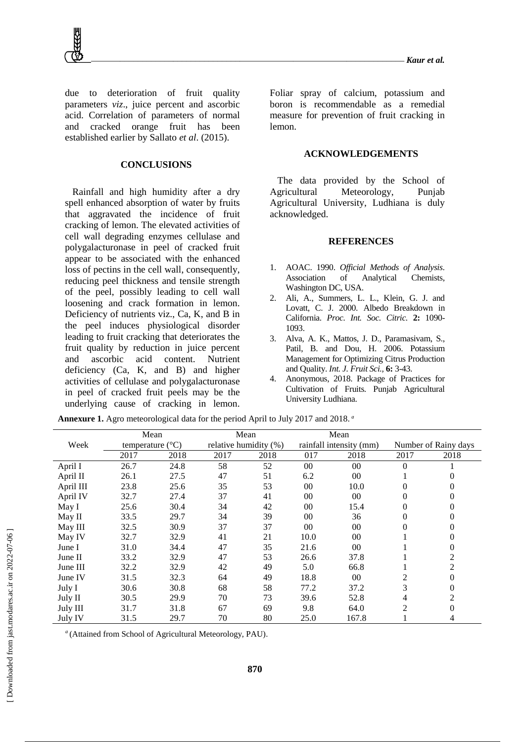due to deterioration of fruit quality parameters *viz*., juice percent and ascorbic acid. Correlation of parameters of normal and cracked orange fruit has been established earlier by Sallato *et al*. (2015).

#### **CONCLUSIONS**

Rainfall and high humidity after a dry spell enhanced absorption of water by fruits that aggravated the incidence of fruit cracking of lemon. The elevated activities of cell wall degrading enzymes cellulase and polygalacturonase in peel of cracked fruit appear to be associated with the enhanced loss of pectins in the cell wall, consequently, reducing peel thickness and tensile strength of the peel, possibly leading to cell wall loosening and crack formation in lemon. Deficiency of nutrients viz., Ca, K, and B in the peel induces physiological disorder leading to fruit cracking that deteriorates the fruit quality by reduction in juice percent and ascorbic acid content. Nutrient deficiency (Ca, K, and B) and higher activities of cellulase and polygalacturonase in peel of cracked fruit peels may be the underlying cause of cracking in lemon.

Foliar spray of calcium, potassium and boron is recommendable as a remedial measure for prevention of fruit cracking in lemon.

## **ACKNOWLEDGEMENTS**

The data provided by the School of Agricultural Meteorology, Punjab Agricultural University, Ludhiana is duly acknowledged.

#### **REFERENCES**

- 1. AOAC. 1990. *Official Methods of Analysis*. Association of Analytical Chemists, Washington DC, USA.
- 2. Ali, A., Summers, L. L., Klein, G. J. and Lovatt, C. J. 2000. Albedo Breakdown in California. *Proc. Int. Soc. Citric.* **2:** 1090- 1093.
- 3. Alva, A. K., Mattos, J. D., Paramasivam, S., Patil, B. and Dou, H. 2006. Potassium Management for Optimizing Citrus Production and Quality. *Int. J. Fruit Sci.,* **6:** 3-43.
- 4. Anonymous, 2018. Package of Practices for Cultivation of Fruits. Punjab Agricultural University Ludhiana.

|           | Mean                      |      |      | Mean                  |      | Mean                    |                |                      |
|-----------|---------------------------|------|------|-----------------------|------|-------------------------|----------------|----------------------|
| Week      | temperature $(^{\circ}C)$ |      |      | relative humidity (%) |      | rainfall intensity (mm) |                | Number of Rainy days |
|           | 2017                      | 2018 | 2017 | 2018                  | 017  | 2018                    | 2017           | 2018                 |
| April I   | 26.7                      | 24.8 | 58   | 52                    | 00   | $00\,$                  | $\theta$       |                      |
| April II  | 26.1                      | 27.5 | 47   | 51                    | 6.2  | $00\,$                  |                | $\Omega$             |
| April III | 23.8                      | 25.6 | 35   | 53                    | 00   | 10.0                    | 0              | $\Omega$             |
| April IV  | 32.7                      | 27.4 | 37   | 41                    | 00   | $00\,$                  | 0              | $\theta$             |
| May I     | 25.6                      | 30.4 | 34   | 42                    | 00   | 15.4                    | 0              | $\theta$             |
| May II    | 33.5                      | 29.7 | 34   | 39                    | 00   | 36                      | 0              | $\Omega$             |
| May III   | 32.5                      | 30.9 | 37   | 37                    | 00   | $00\,$                  | 0              | $\Omega$             |
| May IV    | 32.7                      | 32.9 | 41   | 21                    | 10.0 | 00                      |                | $\Omega$             |
| June I    | 31.0                      | 34.4 | 47   | 35                    | 21.6 | $00\,$                  |                | $\Omega$             |
| June II   | 33.2                      | 32.9 | 47   | 53                    | 26.6 | 37.8                    |                | 2                    |
| June III  | 32.2                      | 32.9 | 42   | 49                    | 5.0  | 66.8                    |                | 2                    |
| June IV   | 31.5                      | 32.3 | 64   | 49                    | 18.8 | $00\,$                  | $\overline{c}$ | 0                    |
| July I    | 30.6                      | 30.8 | 68   | 58                    | 77.2 | 37.2                    | 3              | $\theta$             |
| July II   | 30.5                      | 29.9 | 70   | 73                    | 39.6 | 52.8                    | 4              | 2                    |
| July III  | 31.7                      | 31.8 | 67   | 69                    | 9.8  | 64.0                    | 2              | $\Omega$             |
| July IV   | 31.5                      | 29.7 | 70   | 80                    | 25.0 | 167.8                   |                | 4                    |

**Annexure 1.** Agro meteorological data for the period April to July 2017 and 2018. *<sup>a</sup>*

*a* (Attained from School of Agricultural Meteorology, PAU).

**870**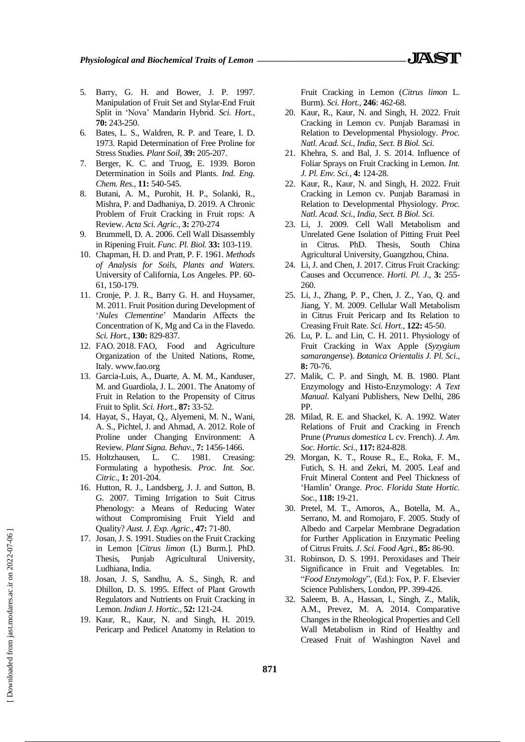- 5. Barry, G. H. and Bower, J. P. 1997. Manipulation of Fruit Set and Stylar-End Fruit Split in 'Nova' Mandarin Hybrid. *Sci. Hort.,* **70:** 243-250.
- 6. Bates, L. S., Waldren, R. P. and Teare, I. D. 1973. Rapid Determination of Free Proline for Stress Studies. *Plant Soil,* **39:** 205-207.
- 7. Berger, K. C. and Truog, E. 1939. Boron Determination in Soils and Plants. *Ind. Eng. Chem. Res.,* **11:** 540-545.
- 8. Butani, A. M., Purohit, H. P., Solanki, R., Mishra, P. and Dadhaniya, D. 2019. A Chronic Problem of Fruit Cracking in Fruit rops: A Review. *Acta Sci. Agric.,* **3:** 270-274
- 9. Brummell, D. A. 2006. Cell Wall Disassembly in Ripening Fruit. *Func. Pl. Biol.* **33:** 103-119.
- 10. Chapman, H. D. and Pratt, P. F. 1961. *Methods of Analysis for Soils, Plants and Waters.* University of California, Los Angeles. PP. 60- 61, 150-179.
- 11. Cronje, P. J. R., Barry G. H. and Huysamer, M. 2011. Fruit Position during Development of '*Nules Clementine*' Mandarin Affects the Concentration of K, Mg and Ca in the Flavedo. *Sci. Hort.,* **130:** 829-837.
- 12. FAO. 2018. FAO, Food and Agriculture Organization of the United Nations, Rome, Italy. www.fao.org
- 13. Garcia-Luis, A., Duarte, A. M. M., Kanduser, M. and Guardiola, J. L. 2001. The Anatomy of Fruit in Relation to the Propensity of Citrus Fruit to Split. *Sci. Hort.,* **87:** 33-52.
- 14. Hayat, S., Hayat, Q., Alyemeni, M. N., Wani, A. S., Pichtel, J. and Ahmad, A. 2012. Role of Proline under Changing Environment: A Review. *Plant Signa. Behav.,* **7:** 1456-1466.
- 15. Holtzhausen, L. C. 1981. Creasing: Formulating a hypothesis. *Proc. Int. Soc. Citric.,* **1:** 201-204.
- 16. Hutton, R. J., Landsberg, J. J. and Sutton, B. G. 2007. Timing Irrigation to Suit Citrus Phenology: a Means of Reducing Water without Compromising Fruit Yield and Quality? *Aust. J. Exp. Agric.,* **47:** 71-80.
- 17. Josan, J. S. 1991. Studies on the Fruit Cracking in Lemon [*Citrus limon* (L) Burm.]. PhD. Thesis, Punjab Agricultural University, Ludhiana, India.
- 18. Josan, J. S, Sandhu, A. S., Singh, R. and Dhillon, D. S. 1995. Effect of Plant Growth Regulators and Nutrients on Fruit Cracking in Lemon. *Indian J. Hortic.,* **52:** 121-24.
- 19. Kaur, R., Kaur, N. and Singh, H. 2019. Pericarp and Pedicel Anatomy in Relation to

Fruit Cracking in Lemon (*Citrus limon* L. Burm). *Sci. Hort.*, **246**: 462-68.

- 20. Kaur, R., Kaur, N. and Singh, H. 2022. Fruit Cracking in Lemon cv. Punjab Baramasi in Relation to Developmental Physiology. *Proc. Natl. Acad. Sci., India, Sect. B Biol. Sci.*
- 21. Khehra, S. and Bal, J. S. 2014. Influence of Foliar Sprays on Fruit Cracking in Lemon. *Int. J. Pl. Env. Sci.,* **4:** 124-28.
- 22. Kaur, R., Kaur, N. and Singh, H. 2022. Fruit Cracking in Lemon cv. Punjab Baramasi in Relation to Developmental Physiology. *Proc. Natl. Acad. Sci., India, Sect. B Biol. Sci.*
- 23. Li, J. 2009. Cell Wall Metabolism and Unrelated Gene Isolation of Pitting Fruit Peel in Citrus. PhD. Thesis, South China Agricultural University, Guangzhou, China.
- 24. Li, J. and Chen, J. 2017. Citrus Fruit Cracking: Causes and Occurrence. *Horti. Pl. J*., **3:** 255- 260.
- 25. Li, J., Zhang, P. P., Chen, J. Z., Yao, Q. and Jiang, Y. M. 2009. Cellular Wall Metabolism in Citrus Fruit Pericarp and Its Relation to Creasing Fruit Rate. *Sci. Hort.,* **122:** 45-50.
- 26. Lu, P. L. and Lin, C. H. 2011. Physiology of Fruit Cracking in Wax Apple (*Syzygium samarangense*). *Botanica Orientalis J. Pl. Sci*., **8:** 70-76.
- 27. Malik, C. P. and Singh, M. B. 1980. Plant Enzymology and Histo-Enzymology: *A Text Manual*. Kalyani Publishers, New Delhi, 286 PP.
- 28. Milad, R. E. and Shackel, K. A. 1992. Water Relations of Fruit and Cracking in French Prune (*Prunus domestica* L cv. French). *J. Am. Soc. Hortic. Sci.,* **117:** 824-828.
- 29. Morgan, K. T., Rouse R., E., Roka, F. M., Futich, S. H. and Zekri, M. 2005. Leaf and Fruit Mineral Content and Peel Thickness of 'Hamlin' Orange. *Proc. Florida State Hortic. Soc.,* **118:** 19-21.
- 30. Pretel, M. T., Amoros, A., Botella, M. A., Serrano, M. and Romojaro, F. 2005. Study of Albedo and Carpelar Membrane Degradation for Further Application in Enzymatic Peeling of Citrus Fruits. *J. Sci. Food Agri.,* **85:** 86-90.
- 31. Robinson, D. S. 1991. Peroxidases and Their Significance in Fruit and Vegetables. In: "*Food Enzymology*"*,* (Ed.): Fox, P. F. Elsevier Science Publishers, London, PP. 399-426.
- 32. Saleem, B. A., Hassan, I., Singh, Z., Malik, A.M., Prevez, M. A. 2014. Comparative Changes in the Rheological Properties and Cell Wall Metabolism in Rind of Healthy and Creased Fruit of Washington Navel and